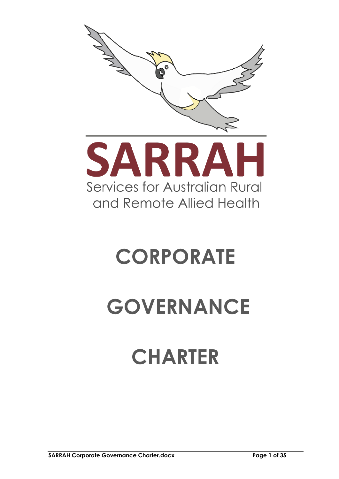



# **CORPORATE**

# **GOVERNANCE**

# **CHARTER**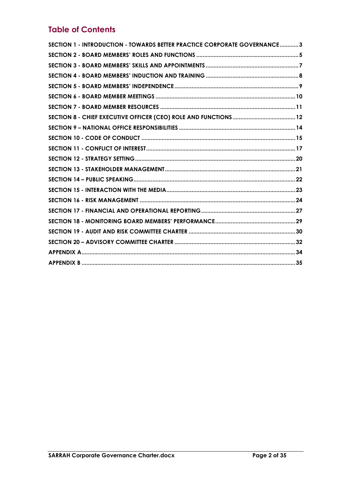# **Table of Contents**

| SECTION 1 - INTRODUCTION - TOWARDS BETTER PRACTICE CORPORATE GOVERNANCE3 |  |
|--------------------------------------------------------------------------|--|
|                                                                          |  |
|                                                                          |  |
|                                                                          |  |
|                                                                          |  |
|                                                                          |  |
|                                                                          |  |
|                                                                          |  |
|                                                                          |  |
|                                                                          |  |
|                                                                          |  |
|                                                                          |  |
|                                                                          |  |
|                                                                          |  |
|                                                                          |  |
|                                                                          |  |
|                                                                          |  |
|                                                                          |  |
|                                                                          |  |
|                                                                          |  |
|                                                                          |  |
|                                                                          |  |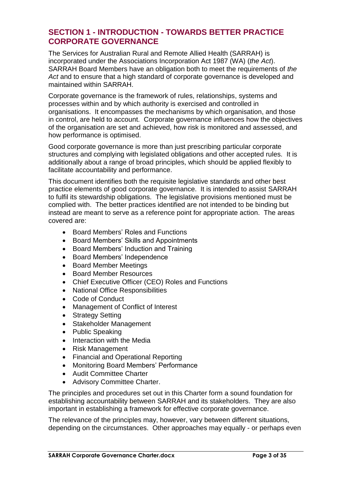# <span id="page-2-0"></span>**SECTION 1 - INTRODUCTION - TOWARDS BETTER PRACTICE CORPORATE GOVERNANCE**

The Services for Australian Rural and Remote Allied Health (SARRAH) is incorporated under the Associations Incorporation Act 1987 (WA) (*the Act*). SARRAH Board Members have an obligation both to meet the requirements of *the Act* and to ensure that a high standard of corporate governance is developed and maintained within SARRAH.

Corporate governance is the framework of rules, relationships, systems and processes within and by which authority is exercised and controlled in organisations. It encompasses the mechanisms by which organisation, and those in control, are held to account. Corporate governance influences how the objectives of the organisation are set and achieved, how risk is monitored and assessed, and how performance is optimised.

Good corporate governance is more than just prescribing particular corporate structures and complying with legislated obligations and other accepted rules. It is additionally about a range of broad principles, which should be applied flexibly to facilitate accountability and performance.

This document identifies both the requisite legislative standards and other best practice elements of good corporate governance. It is intended to assist SARRAH to fulfil its stewardship obligations. The legislative provisions mentioned must be complied with. The better practices identified are not intended to be binding but instead are meant to serve as a reference point for appropriate action. The areas covered are:

- Board Members' Roles and Functions
- Board Members' Skills and Appointments
- Board Members' Induction and Training
- Board Members' Independence
- Board Member Meetings
- Board Member Resources
- Chief Executive Officer (CEO) Roles and Functions
- National Office Responsibilities
- Code of Conduct
- Management of Conflict of Interest
- Strategy Setting
- Stakeholder Management
- Public Speaking
- Interaction with the Media
- Risk Management
- Financial and Operational Reporting
- Monitoring Board Members' Performance
- Audit Committee Charter
- Advisory Committee Charter.

The principles and procedures set out in this Charter form a sound foundation for establishing accountability between SARRAH and its stakeholders. They are also important in establishing a framework for effective corporate governance.

The relevance of the principles may, however, vary between different situations, depending on the circumstances. Other approaches may equally - or perhaps even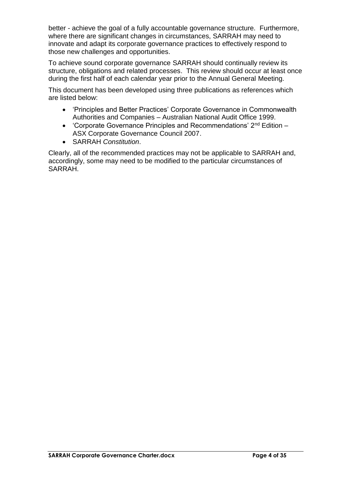better - achieve the goal of a fully accountable governance structure. Furthermore, where there are significant changes in circumstances, SARRAH may need to innovate and adapt its corporate governance practices to effectively respond to those new challenges and opportunities.

To achieve sound corporate governance SARRAH should continually review its structure, obligations and related processes. This review should occur at least once during the first half of each calendar year prior to the Annual General Meeting.

This document has been developed using three publications as references which are listed below:

- 'Principles and Better Practices' Corporate Governance in Commonwealth Authorities and Companies – Australian National Audit Office 1999.
- 'Corporate Governance Principles and Recommendations' 2nd Edition ASX Corporate Governance Council 2007.
- SARRAH *Constitution*.

Clearly, all of the recommended practices may not be applicable to SARRAH and, accordingly, some may need to be modified to the particular circumstances of SARRAH.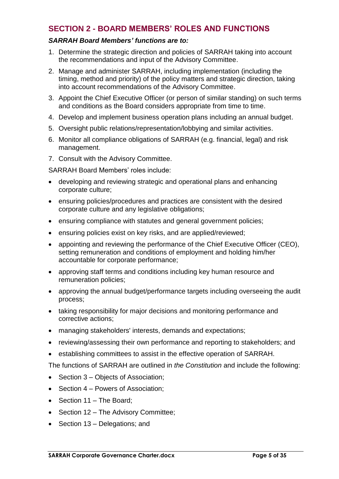# <span id="page-4-0"></span>**SECTION 2 - BOARD MEMBERS' ROLES AND FUNCTIONS**

## *SARRAH Board Members' functions are to:*

- 1. Determine the strategic direction and policies of SARRAH taking into account the recommendations and input of the Advisory Committee.
- 2. Manage and administer SARRAH, including implementation (including the timing, method and priority) of the policy matters and strategic direction, taking into account recommendations of the Advisory Committee.
- 3. Appoint the Chief Executive Officer (or person of similar standing) on such terms and conditions as the Board considers appropriate from time to time.
- 4. Develop and implement business operation plans including an annual budget.
- 5. Oversight public relations/representation/lobbying and similar activities.
- 6. Monitor all compliance obligations of SARRAH (e.g. financial, legal) and risk management.
- 7. Consult with the Advisory Committee.

SARRAH Board Members' roles include:

- developing and reviewing strategic and operational plans and enhancing corporate culture;
- ensuring policies/procedures and practices are consistent with the desired corporate culture and any legislative obligations;
- ensuring compliance with statutes and general government policies;
- ensuring policies exist on key risks, and are applied/reviewed;
- appointing and reviewing the performance of the Chief Executive Officer (CEO), setting remuneration and conditions of employment and holding him/her accountable for corporate performance;
- approving staff terms and conditions including key human resource and remuneration policies;
- approving the annual budget/performance targets including overseeing the audit process;
- taking responsibility for major decisions and monitoring performance and corrective actions;
- managing stakeholders' interests, demands and expectations;
- reviewing/assessing their own performance and reporting to stakeholders; and
- establishing committees to assist in the effective operation of SARRAH.

The functions of SARRAH are outlined in *the Constitution* and include the following:

- Section 3 Objects of Association;
- Section  $4$  Powers of Association;
- Section 11 The Board;
- Section 12 The Advisory Committee;
- Section 13 Delegations; and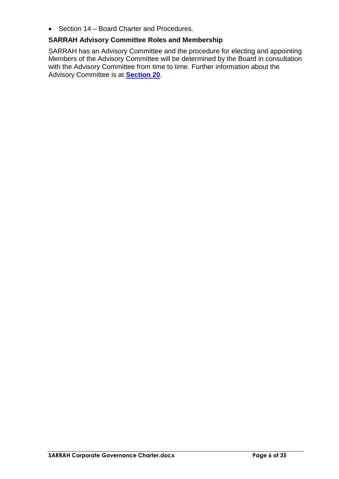• Section 14 – Board Charter and Procedures.

# **SARRAH Advisory Committee Roles and Membership**

SARRAH has an Advisory Committee and the procedure for electing and appointing Members of the Advisory Committee will be determined by the Board in consultation with the Advisory Committee from time to time. Further information about the Advisory Committee is at **[Section 20](#page-29-0)**.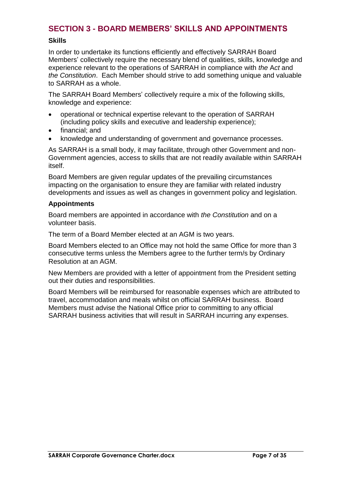# <span id="page-6-0"></span>**SECTION 3 - BOARD MEMBERS' SKILLS AND APPOINTMENTS**

## **Skills**

In order to undertake its functions efficiently and effectively SARRAH Board Members' collectively require the necessary blend of qualities, skills, knowledge and experience relevant to the operations of SARRAH in compliance with *the* A*ct* and *the Constitution*. Each Member should strive to add something unique and valuable to SARRAH as a whole.

The SARRAH Board Members' collectively require a mix of the following skills, knowledge and experience:

- operational or technical expertise relevant to the operation of SARRAH (including policy skills and executive and leadership experience);
- financial; and
- knowledge and understanding of government and governance processes.

As SARRAH is a small body, it may facilitate, through other Government and non-Government agencies, access to skills that are not readily available within SARRAH itself.

Board Members are given regular updates of the prevailing circumstances impacting on the organisation to ensure they are familiar with related industry developments and issues as well as changes in government policy and legislation.

## **Appointments**

Board members are appointed in accordance with *the Constitution* and on a volunteer basis.

The term of a Board Member elected at an AGM is two years.

Board Members elected to an Office may not hold the same Office for more than 3 consecutive terms unless the Members agree to the further term/s by Ordinary Resolution at an AGM.

New Members are provided with a letter of appointment from the President setting out their duties and responsibilities.

Board Members will be reimbursed for reasonable expenses which are attributed to travel, accommodation and meals whilst on official SARRAH business. Board Members must advise the National Office prior to committing to any official SARRAH business activities that will result in SARRAH incurring any expenses.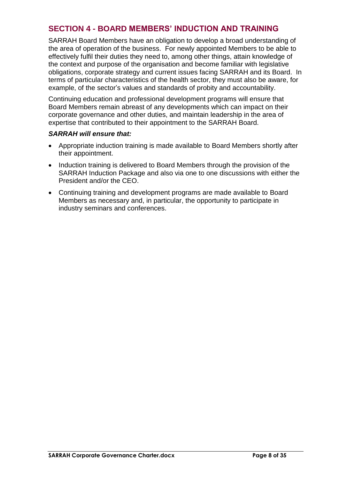# <span id="page-7-0"></span>**SECTION 4 - BOARD MEMBERS' INDUCTION AND TRAINING**

SARRAH Board Members have an obligation to develop a broad understanding of the area of operation of the business. For newly appointed Members to be able to effectively fulfil their duties they need to, among other things, attain knowledge of the context and purpose of the organisation and become familiar with legislative obligations, corporate strategy and current issues facing SARRAH and its Board. In terms of particular characteristics of the health sector, they must also be aware, for example, of the sector's values and standards of probity and accountability.

Continuing education and professional development programs will ensure that Board Members remain abreast of any developments which can impact on their corporate governance and other duties, and maintain leadership in the area of expertise that contributed to their appointment to the SARRAH Board.

- Appropriate induction training is made available to Board Members shortly after their appointment.
- Induction training is delivered to Board Members through the provision of the SARRAH Induction Package and also via one to one discussions with either the President and/or the CEO.
- Continuing training and development programs are made available to Board Members as necessary and, in particular, the opportunity to participate in industry seminars and conferences.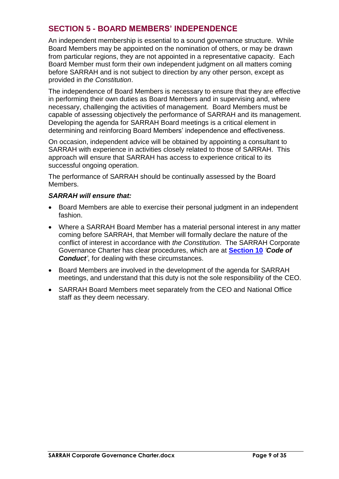# <span id="page-8-0"></span>**SECTION 5 - BOARD MEMBERS' INDEPENDENCE**

An independent membership is essential to a sound governance structure. While Board Members may be appointed on the nomination of others, or may be drawn from particular regions, they are not appointed in a representative capacity. Each Board Member must form their own independent judgment on all matters coming before SARRAH and is not subject to direction by any other person, except as provided in *the Constitution*.

The independence of Board Members is necessary to ensure that they are effective in performing their own duties as Board Members and in supervising and, where necessary, challenging the activities of management. Board Members must be capable of assessing objectively the performance of SARRAH and its management. Developing the agenda for SARRAH Board meetings is a critical element in determining and reinforcing Board Members' independence and effectiveness.

On occasion, independent advice will be obtained by appointing a consultant to SARRAH with experience in activities closely related to those of SARRAH. This approach will ensure that SARRAH has access to experience critical to its successful ongoing operation.

The performance of SARRAH should be continually assessed by the Board Members.

- Board Members are able to exercise their personal judgment in an independent fashion.
- Where a SARRAH Board Member has a material personal interest in any matter coming before SARRAH, that Member will formally declare the nature of the conflict of interest in accordance with *the Constitution*. The SARRAH Corporate Governance Charter has clear procedures, which are at **[Section 10](#page-14-0)** *'Code of Conduct'*, for dealing with these circumstances.
- Board Members are involved in the development of the agenda for SARRAH meetings, and understand that this duty is not the sole responsibility of the CEO.
- SARRAH Board Members meet separately from the CEO and National Office staff as they deem necessary.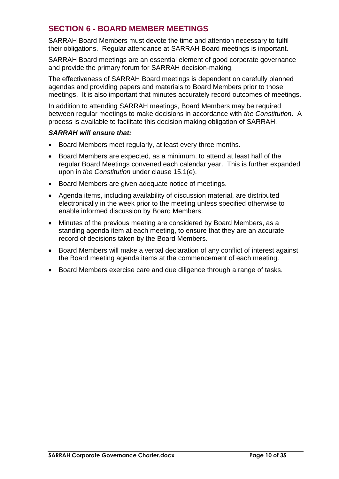# <span id="page-9-0"></span>**SECTION 6 - BOARD MEMBER MEETINGS**

SARRAH Board Members must devote the time and attention necessary to fulfil their obligations. Regular attendance at SARRAH Board meetings is important.

SARRAH Board meetings are an essential element of good corporate governance and provide the primary forum for SARRAH decision-making.

The effectiveness of SARRAH Board meetings is dependent on carefully planned agendas and providing papers and materials to Board Members prior to those meetings. It is also important that minutes accurately record outcomes of meetings.

In addition to attending SARRAH meetings, Board Members may be required between regular meetings to make decisions in accordance with *the Constitution*. A process is available to facilitate this decision making obligation of SARRAH.

- Board Members meet regularly, at least every three months.
- Board Members are expected, as a minimum, to attend at least half of the regular Board Meetings convened each calendar year. This is further expanded upon in *the Constitution* under clause 15.1(e).
- Board Members are given adequate notice of meetings.
- Agenda items, including availability of discussion material, are distributed electronically in the week prior to the meeting unless specified otherwise to enable informed discussion by Board Members.
- Minutes of the previous meeting are considered by Board Members, as a standing agenda item at each meeting, to ensure that they are an accurate record of decisions taken by the Board Members.
- Board Members will make a verbal declaration of any conflict of interest against the Board meeting agenda items at the commencement of each meeting.
- Board Members exercise care and due diligence through a range of tasks.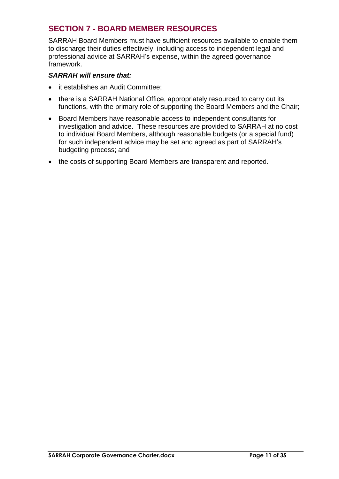# <span id="page-10-0"></span>**SECTION 7 - BOARD MEMBER RESOURCES**

SARRAH Board Members must have sufficient resources available to enable them to discharge their duties effectively, including access to independent legal and professional advice at SARRAH's expense, within the agreed governance framework.

- it establishes an Audit Committee;
- there is a SARRAH National Office, appropriately resourced to carry out its functions, with the primary role of supporting the Board Members and the Chair;
- Board Members have reasonable access to independent consultants for investigation and advice. These resources are provided to SARRAH at no cost to individual Board Members, although reasonable budgets (or a special fund) for such independent advice may be set and agreed as part of SARRAH's budgeting process; and
- the costs of supporting Board Members are transparent and reported.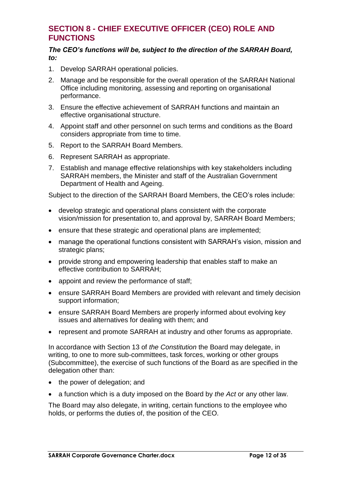# <span id="page-11-0"></span>**SECTION 8 - CHIEF EXECUTIVE OFFICER (CEO) ROLE AND FUNCTIONS**

#### *The CEO's functions will be, subject to the direction of the SARRAH Board, to:*

- 1. Develop SARRAH operational policies.
- 2. Manage and be responsible for the overall operation of the SARRAH National Office including monitoring, assessing and reporting on organisational performance.
- 3. Ensure the effective achievement of SARRAH functions and maintain an effective organisational structure.
- 4. Appoint staff and other personnel on such terms and conditions as the Board considers appropriate from time to time.
- 5. Report to the SARRAH Board Members.
- 6. Represent SARRAH as appropriate.
- 7. Establish and manage effective relationships with key stakeholders including SARRAH members, the Minister and staff of the Australian Government Department of Health and Ageing.

Subject to the direction of the SARRAH Board Members, the CEO's roles include:

- develop strategic and operational plans consistent with the corporate vision/mission for presentation to, and approval by, SARRAH Board Members;
- ensure that these strategic and operational plans are implemented;
- manage the operational functions consistent with SARRAH's vision, mission and strategic plans;
- provide strong and empowering leadership that enables staff to make an effective contribution to SARRAH;
- appoint and review the performance of staff;
- ensure SARRAH Board Members are provided with relevant and timely decision support information;
- ensure SARRAH Board Members are properly informed about evolving key issues and alternatives for dealing with them; and
- represent and promote SARRAH at industry and other forums as appropriate.

In accordance with Section 13 of *the Constitution* the Board may delegate, in writing, to one to more sub-committees, task forces, working or other groups (Subcommittee), the exercise of such functions of the Board as are specified in the delegation other than:

- the power of delegation; and
- a function which is a duty imposed on the Board by *the Act* or any other law.

The Board may also delegate, in writing, certain functions to the employee who holds, or performs the duties of, the position of the CEO*.*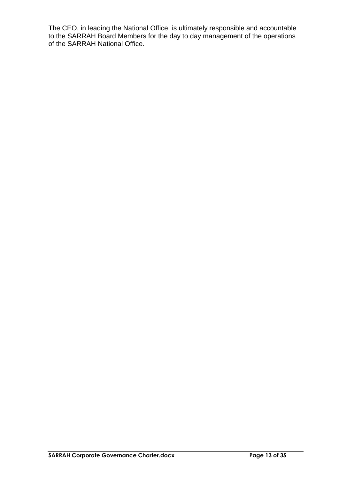The CEO, in leading the National Office, is ultimately responsible and accountable to the SARRAH Board Members for the day to day management of the operations of the SARRAH National Office.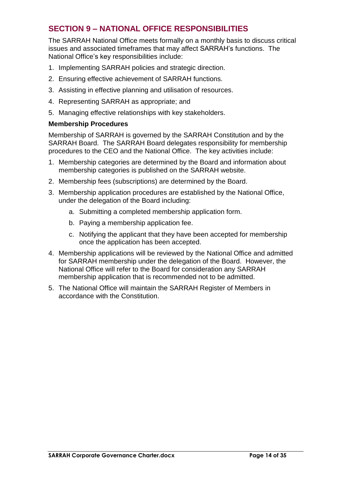# <span id="page-13-0"></span>**SECTION 9 – NATIONAL OFFICE RESPONSIBILITIES**

The SARRAH National Office meets formally on a monthly basis to discuss critical issues and associated timeframes that may affect SARRAH's functions. The National Office's key responsibilities include:

- 1. Implementing SARRAH policies and strategic direction.
- 2. Ensuring effective achievement of SARRAH functions.
- 3. Assisting in effective planning and utilisation of resources.
- 4. Representing SARRAH as appropriate; and
- 5. Managing effective relationships with key stakeholders.

## **Membership Procedures**

Membership of SARRAH is governed by the SARRAH Constitution and by the SARRAH Board. The SARRAH Board delegates responsibility for membership procedures to the CEO and the National Office. The key activities include:

- 1. Membership categories are determined by the Board and information about membership categories is published on the SARRAH website.
- 2. Membership fees (subscriptions) are determined by the Board.
- 3. Membership application procedures are established by the National Office, under the delegation of the Board including:
	- a. Submitting a completed membership application form.
	- b. Paying a membership application fee.
	- c. Notifying the applicant that they have been accepted for membership once the application has been accepted.
- 4. Membership applications will be reviewed by the National Office and admitted for SARRAH membership under the delegation of the Board. However, the National Office will refer to the Board for consideration any SARRAH membership application that is recommended not to be admitted.
- 5. The National Office will maintain the SARRAH Register of Members in accordance with the Constitution.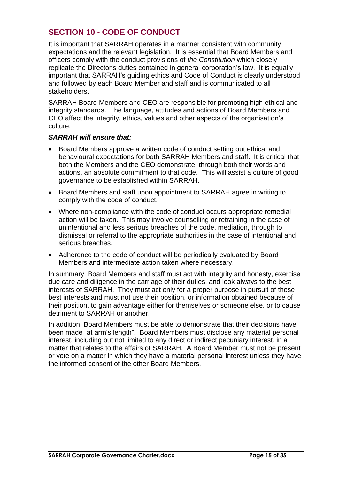# <span id="page-14-0"></span>**SECTION 10 - CODE OF CONDUCT**

It is important that SARRAH operates in a manner consistent with community expectations and the relevant legislation. It is essential that Board Members and officers comply with the conduct provisions of *the Constitution* which closely replicate the Director's duties contained in general corporation's law. It is equally important that SARRAH's guiding ethics and Code of Conduct is clearly understood and followed by each Board Member and staff and is communicated to all stakeholders.

SARRAH Board Members and CEO are responsible for promoting high ethical and integrity standards. The language, attitudes and actions of Board Members and CEO affect the integrity, ethics, values and other aspects of the organisation's culture.

## *SARRAH will ensure that:*

- Board Members approve a written code of conduct setting out ethical and behavioural expectations for both SARRAH Members and staff. It is critical that both the Members and the CEO demonstrate, through both their words and actions, an absolute commitment to that code. This will assist a culture of good governance to be established within SARRAH.
- Board Members and staff upon appointment to SARRAH agree in writing to comply with the code of conduct.
- Where non-compliance with the code of conduct occurs appropriate remedial action will be taken. This may involve counselling or retraining in the case of unintentional and less serious breaches of the code, mediation, through to dismissal or referral to the appropriate authorities in the case of intentional and serious breaches.
- Adherence to the code of conduct will be periodically evaluated by Board Members and intermediate action taken where necessary.

In summary, Board Members and staff must act with integrity and honesty, exercise due care and diligence in the carriage of their duties, and look always to the best interests of SARRAH. They must act only for a proper purpose in pursuit of those best interests and must not use their position, or information obtained because of their position, to gain advantage either for themselves or someone else, or to cause detriment to SARRAH or another.

In addition, Board Members must be able to demonstrate that their decisions have been made "at arm's length". Board Members must disclose any material personal interest, including but not limited to any direct or indirect pecuniary interest, in a matter that relates to the affairs of SARRAH. A Board Member must not be present or vote on a matter in which they have a material personal interest unless they have the informed consent of the other Board Members.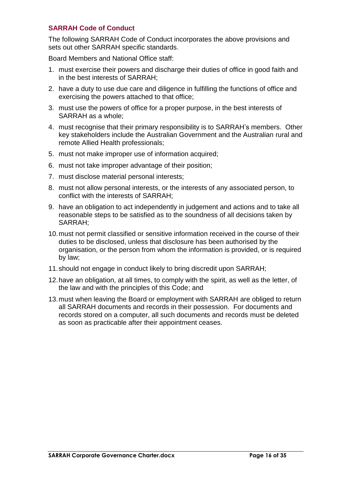## **SARRAH Code of Conduct**

The following SARRAH Code of Conduct incorporates the above provisions and sets out other SARRAH specific standards.

Board Members and National Office staff:

- 1. must exercise their powers and discharge their duties of office in good faith and in the best interests of SARRAH;
- 2. have a duty to use due care and diligence in fulfilling the functions of office and exercising the powers attached to that office;
- 3. must use the powers of office for a proper purpose, in the best interests of SARRAH as a whole;
- 4. must recognise that their primary responsibility is to SARRAH's members. Other key stakeholders include the Australian Government and the Australian rural and remote Allied Health professionals;
- 5. must not make improper use of information acquired;
- 6. must not take improper advantage of their position;
- 7. must disclose material personal interests;
- 8. must not allow personal interests, or the interests of any associated person, to conflict with the interests of SARRAH;
- 9. have an obligation to act independently in judgement and actions and to take all reasonable steps to be satisfied as to the soundness of all decisions taken by SARRAH;
- 10.must not permit classified or sensitive information received in the course of their duties to be disclosed, unless that disclosure has been authorised by the organisation, or the person from whom the information is provided, or is required by law;
- 11.should not engage in conduct likely to bring discredit upon SARRAH;
- 12.have an obligation, at all times, to comply with the spirit, as well as the letter, of the law and with the principles of this Code; and
- 13.must when leaving the Board or employment with SARRAH are obliged to return all SARRAH documents and records in their possession. For documents and records stored on a computer, all such documents and records must be deleted as soon as practicable after their appointment ceases.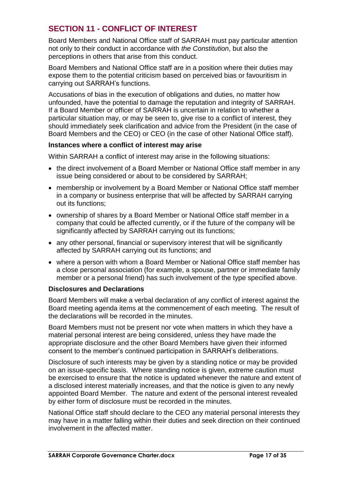# <span id="page-16-0"></span>**SECTION 11 - CONFLICT OF INTEREST**

Board Members and National Office staff of SARRAH must pay particular attention not only to their conduct in accordance with *the Constitution*, but also the perceptions in others that arise from this conduct.

Board Members and National Office staff are in a position where their duties may expose them to the potential criticism based on perceived bias or favouritism in carrying out SARRAH's functions.

Accusations of bias in the execution of obligations and duties, no matter how unfounded, have the potential to damage the reputation and integrity of SARRAH. If a Board Member or officer of SARRAH is uncertain in relation to whether a particular situation may, or may be seen to, give rise to a conflict of interest, they should immediately seek clarification and advice from the President (in the case of Board Members and the CEO) or CEO (in the case of other National Office staff).

## **Instances where a conflict of interest may arise**

Within SARRAH a conflict of interest may arise in the following situations:

- the direct involvement of a Board Member or National Office staff member in any issue being considered or about to be considered by SARRAH;
- membership or involvement by a Board Member or National Office staff member in a company or business enterprise that will be affected by SARRAH carrying out its functions;
- ownership of shares by a Board Member or National Office staff member in a company that could be affected currently, or if the future of the company will be significantly affected by SARRAH carrying out its functions;
- any other personal, financial or supervisory interest that will be significantly affected by SARRAH carrying out its functions; and
- where a person with whom a Board Member or National Office staff member has a close personal association (for example, a spouse, partner or immediate family member or a personal friend) has such involvement of the type specified above.

## **Disclosures and Declarations**

Board Members will make a verbal declaration of any conflict of interest against the Board meeting agenda items at the commencement of each meeting. The result of the declarations will be recorded in the minutes.

Board Members must not be present nor vote when matters in which they have a material personal interest are being considered, unless they have made the appropriate disclosure and the other Board Members have given their informed consent to the member's continued participation in SARRAH's deliberations.

Disclosure of such interests may be given by a standing notice or may be provided on an issue-specific basis. Where standing notice is given, extreme caution must be exercised to ensure that the notice is updated whenever the nature and extent of a disclosed interest materially increases, and that the notice is given to any newly appointed Board Member. The nature and extent of the personal interest revealed by either form of disclosure must be recorded in the minutes.

National Office staff should declare to the CEO any material personal interests they may have in a matter falling within their duties and seek direction on their continued involvement in the affected matter.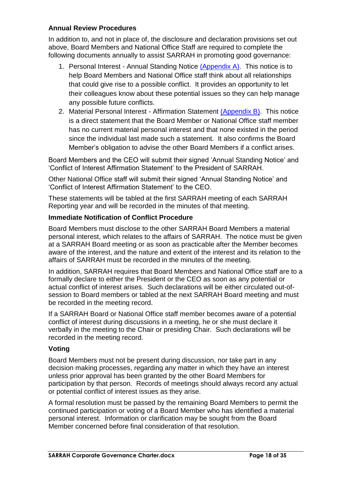## **Annual Review Procedures**

In addition to, and not in place of, the disclosure and declaration provisions set out above, Board Members and National Office Staff are required to complete the following documents annually to assist SARRAH in promoting good governance:

- 1. Personal Interest Annual Standing Notice [\(Appendix A\)](#page-33-0). This notice is to help Board Members and National Office staff think about all relationships that could give rise to a possible conflict. It provides an opportunity to let their colleagues know about these potential issues so they can help manage any possible future conflicts.
- 2. Material Personal Interest Affirmation Statement [\(Appendix B\)](#page-34-0). This notice is a direct statement that the Board Member or National Office staff member has no current material personal interest and that none existed in the period since the individual last made such a statement. It also confirms the Board Member's obligation to advise the other Board Members if a conflict arises.

Board Members and the CEO will submit their signed 'Annual Standing Notice' and 'Conflict of Interest Affirmation Statement' to the President of SARRAH.

Other National Office staff will submit their signed 'Annual Standing Notice' and 'Conflict of Interest Affirmation Statement' to the CEO.

These statements will be tabled at the first SARRAH meeting of each SARRAH Reporting year and will be recorded in the minutes of that meeting.

## **Immediate Notification of Conflict Procedure**

Board Members must disclose to the other SARRAH Board Members a material personal interest, which relates to the affairs of SARRAH. The notice must be given at a SARRAH Board meeting or as soon as practicable after the Member becomes aware of the interest, and the nature and extent of the interest and its relation to the affairs of SARRAH must be recorded in the minutes of the meeting.

In addition, SARRAH requires that Board Members and National Office staff are to a formally declare to either the President or the CEO as soon as any potential or actual conflict of interest arises. Such declarations will be either circulated out-ofsession to Board members or tabled at the next SARRAH Board meeting and must be recorded in the meeting record.

If a SARRAH Board or National Office staff member becomes aware of a potential conflict of interest during discussions in a meeting, he or she must declare it verbally in the meeting to the Chair or presiding Chair. Such declarations will be recorded in the meeting record.

## **Voting**

Board Members must not be present during discussion, nor take part in any decision making processes, regarding any matter in which they have an interest unless prior approval has been granted by the other Board Members for participation by that person. Records of meetings should always record any actual or potential conflict of interest issues as they arise.

A formal resolution must be passed by the remaining Board Members to permit the continued participation or voting of a Board Member who has identified a material personal interest. Information or clarification may be sought from the Board Member concerned before final consideration of that resolution.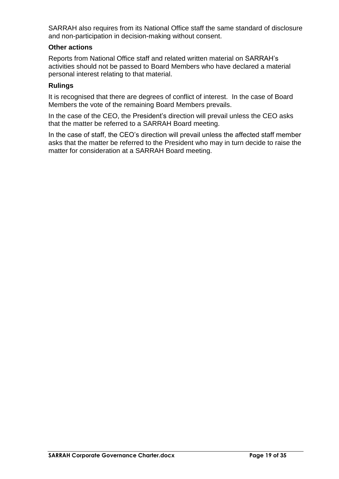SARRAH also requires from its National Office staff the same standard of disclosure and non-participation in decision-making without consent.

## **Other actions**

Reports from National Office staff and related written material on SARRAH's activities should not be passed to Board Members who have declared a material personal interest relating to that material.

## **Rulings**

It is recognised that there are degrees of conflict of interest. In the case of Board Members the vote of the remaining Board Members prevails.

In the case of the CEO, the President's direction will prevail unless the CEO asks that the matter be referred to a SARRAH Board meeting.

In the case of staff, the CEO's direction will prevail unless the affected staff member asks that the matter be referred to the President who may in turn decide to raise the matter for consideration at a SARRAH Board meeting.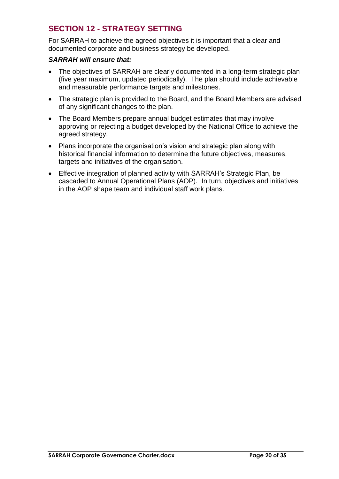# <span id="page-19-0"></span>**SECTION 12 - STRATEGY SETTING**

For SARRAH to achieve the agreed objectives it is important that a clear and documented corporate and business strategy be developed.

- The objectives of SARRAH are clearly documented in a long-term strategic plan (five year maximum, updated periodically). The plan should include achievable and measurable performance targets and milestones.
- The strategic plan is provided to the Board, and the Board Members are advised of any significant changes to the plan.
- The Board Members prepare annual budget estimates that may involve approving or rejecting a budget developed by the National Office to achieve the agreed strategy.
- Plans incorporate the organisation's vision and strategic plan along with historical financial information to determine the future objectives, measures, targets and initiatives of the organisation.
- Effective integration of planned activity with SARRAH's Strategic Plan, be cascaded to Annual Operational Plans (AOP). In turn, objectives and initiatives in the AOP shape team and individual staff work plans.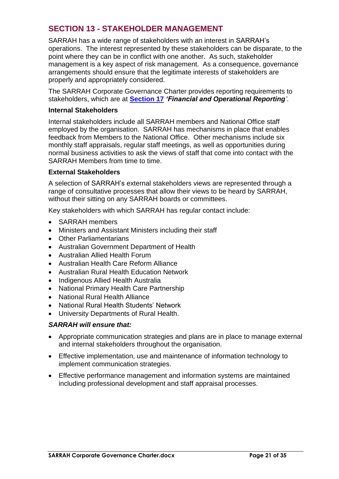# <span id="page-20-0"></span>**SECTION 13 - STAKEHOLDER MANAGEMENT**

SARRAH has a wide range of stakeholders with an interest in SARRAH's operations. The interest represented by these stakeholders can be disparate, to the point where they can be in conflict with one another. As such, stakeholder management is a key aspect of risk management. As a consequence, governance arrangements should ensure that the legitimate interests of stakeholders are properly and appropriately considered.

The SARRAH Corporate Governance Charter provides reporting requirements to stakeholders, which are at **[Section 17](#page-23-0)** *'Financial and Operational Reporting'*.

## **Internal Stakeholders**

Internal stakeholders include all SARRAH members and National Office staff employed by the organisation. SARRAH has mechanisms in place that enables feedback from Members to the National Office. Other mechanisms include six monthly staff appraisals, regular staff meetings, as well as opportunities during normal business activities to ask the views of staff that come into contact with the SARRAH Members from time to time.

## **External Stakeholders**

A selection of SARRAH's external stakeholders views are represented through a range of consultative processes that allow their views to be heard by SARRAH, without their sitting on any SARRAH boards or committees.

Key stakeholders with which SARRAH has regular contact include:

- SARRAH members
- Ministers and Assistant Ministers including their staff
- Other Parliamentarians
- Australian Government Department of Health
- Australian Allied Health Forum
- Australian Health Care Reform Alliance
- Australian Rural Health Education Network
- Indigenous Allied Health Australia
- National Primary Health Care Partnership
- National Rural Health Alliance
- National Rural Health Students' Network
- University Departments of Rural Health.

- Appropriate communication strategies and plans are in place to manage external and internal stakeholders throughout the organisation.
- Effective implementation, use and maintenance of information technology to implement communication strategies.
- Effective performance management and information systems are maintained including professional development and staff appraisal processes.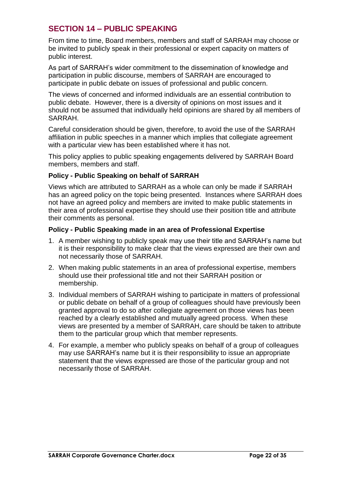# <span id="page-21-0"></span>**SECTION 14 – PUBLIC SPEAKING**

From time to time, Board members, members and staff of SARRAH may choose or be invited to publicly speak in their professional or expert capacity on matters of public interest.

As part of SARRAH's wider commitment to the dissemination of knowledge and participation in public discourse, members of SARRAH are encouraged to participate in public debate on issues of professional and public concern.

The views of concerned and informed individuals are an essential contribution to public debate. However, there is a diversity of opinions on most issues and it should not be assumed that individually held opinions are shared by all members of SARRAH.

Careful consideration should be given, therefore, to avoid the use of the SARRAH affiliation in public speeches in a manner which implies that collegiate agreement with a particular view has been established where it has not.

This policy applies to public speaking engagements delivered by SARRAH Board members, members and staff.

## **Policy - Public Speaking on behalf of SARRAH**

Views which are attributed to SARRAH as a whole can only be made if SARRAH has an agreed policy on the topic being presented. Instances where SARRAH does not have an agreed policy and members are invited to make public statements in their area of professional expertise they should use their position title and attribute their comments as personal.

## **Policy - Public Speaking made in an area of Professional Expertise**

- 1. A member wishing to publicly speak may use their title and SARRAH's name but it is their responsibility to make clear that the views expressed are their own and not necessarily those of SARRAH.
- 2. When making public statements in an area of professional expertise, members should use their professional title and not their SARRAH position or membership.
- 3. Individual members of SARRAH wishing to participate in matters of professional or public debate on behalf of a group of colleagues should have previously been granted approval to do so after collegiate agreement on those views has been reached by a clearly established and mutually agreed process. When these views are presented by a member of SARRAH, care should be taken to attribute them to the particular group which that member represents.
- 4. For example, a member who publicly speaks on behalf of a group of colleagues may use SARRAH's name but it is their responsibility to issue an appropriate statement that the views expressed are those of the particular group and not necessarily those of SARRAH.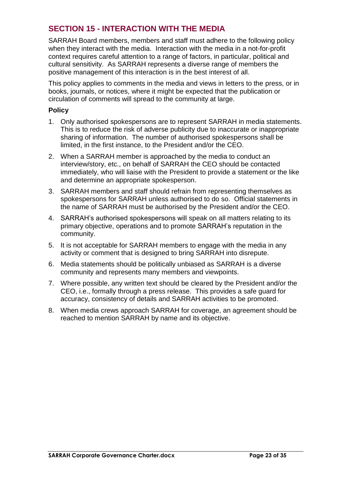# <span id="page-22-0"></span>**SECTION 15 - INTERACTION WITH THE MEDIA**

SARRAH Board members, members and staff must adhere to the following policy when they interact with the media. Interaction with the media in a not-for-profit context requires careful attention to a range of factors, in particular, political and cultural sensitivity. As SARRAH represents a diverse range of members the positive management of this interaction is in the best interest of all.

This policy applies to comments in the media and views in letters to the press, or in books, journals, or notices, where it might be expected that the publication or circulation of comments will spread to the community at large.

## **Policy**

- 1. Only authorised spokespersons are to represent SARRAH in media statements. This is to reduce the risk of adverse publicity due to inaccurate or inappropriate sharing of information. The number of authorised spokespersons shall be limited, in the first instance, to the President and/or the CEO.
- 2. When a SARRAH member is approached by the media to conduct an interview/story, etc., on behalf of SARRAH the CEO should be contacted immediately, who will liaise with the President to provide a statement or the like and determine an appropriate spokesperson.
- 3. SARRAH members and staff should refrain from representing themselves as spokespersons for SARRAH unless authorised to do so. Official statements in the name of SARRAH must be authorised by the President and/or the CEO.
- 4. SARRAH's authorised spokespersons will speak on all matters relating to its primary objective, operations and to promote SARRAH's reputation in the community.
- 5. It is not acceptable for SARRAH members to engage with the media in any activity or comment that is designed to bring SARRAH into disrepute.
- 6. Media statements should be politically unbiased as SARRAH is a diverse community and represents many members and viewpoints.
- 7. Where possible, any written text should be cleared by the President and/or the CEO, i.e., formally through a press release. This provides a safe guard for accuracy, consistency of details and SARRAH activities to be promoted.
- 8. When media crews approach SARRAH for coverage, an agreement should be reached to mention SARRAH by name and its objective.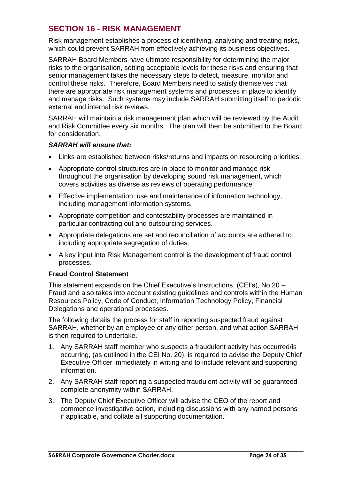# <span id="page-23-0"></span>**SECTION 16 - RISK MANAGEMENT**

Risk management establishes a process of identifying, analysing and treating risks, which could prevent SARRAH from effectively achieving its business objectives.

SARRAH Board Members have ultimate responsibility for determining the major risks to the organisation, setting acceptable levels for these risks and ensuring that senior management takes the necessary steps to detect, measure, monitor and control these risks. Therefore, Board Members need to satisfy themselves that there are appropriate risk management systems and processes in place to identify and manage risks. Such systems may include SARRAH submitting itself to periodic external and internal risk reviews.

SARRAH will maintain a risk management plan which will be reviewed by the Audit and Risk Committee every six months. The plan will then be submitted to the Board for consideration.

## *SARRAH will ensure that:*

- Links are established between risks/returns and impacts on resourcing priorities.
- Appropriate control structures are in place to monitor and manage risk throughout the organisation by developing sound risk management, which covers activities as diverse as reviews of operating performance.
- Effective implementation, use and maintenance of information technology, including management information systems.
- Appropriate competition and contestability processes are maintained in particular contracting out and outsourcing services.
- Appropriate delegations are set and reconciliation of accounts are adhered to including appropriate segregation of duties.
- A key input into Risk Management control is the development of fraud control processes.

## **Fraud Control Statement**

This statement expands on the Chief Executive's Instructions, (CEI's), No.20 – Fraud and also takes into account existing guidelines and controls within the Human Resources Policy, Code of Conduct, Information Technology Policy, Financial Delegations and operational processes.

The following details the process for staff in reporting suspected fraud against SARRAH, whether by an employee or any other person, and what action SARRAH is then required to undertake.

- 1. Any SARRAH staff member who suspects a fraudulent activity has occurred/is occurring, (as outlined in the CEI No. 20), is required to advise the Deputy Chief Executive Officer immediately in writing and to include relevant and supporting information.
- 2. Any SARRAH staff reporting a suspected fraudulent activity will be guaranteed complete anonymity within SARRAH.
- 3. The Deputy Chief Executive Officer will advise the CEO of the report and commence investigative action, including discussions with any named persons if applicable, and collate all supporting documentation.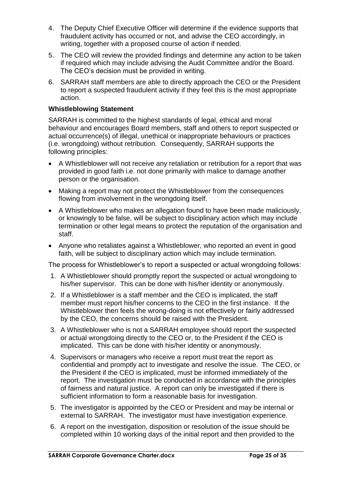- 4. The Deputy Chief Executive Officer will determine if the evidence supports that fraudulent activity has occurred or not, and advise the CEO accordingly, in writing, together with a proposed course of action if needed.
- 5. The CEO will review the provided findings and determine any action to be taken if required which may include advising the Audit Committee and/or the Board. The CEO's decision must be provided in writing.
- 6. SARRAH staff members are able to directly approach the CEO or the President to report a suspected fraudulent activity if they feel this is the most appropriate action.

## **Whistleblowing Statement**

SARRAH is committed to the highest standards of legal, ethical and moral behaviour and encourages Board members, staff and others to report suspected or actual occurrence(s) of illegal, unethical or inappropriate behaviours or practices (i.e. wrongdoing) without retribution. Consequently, SARRAH supports the following principles:

- A Whistleblower will not receive any retaliation or retribution for a report that was provided in good faith i.e. not done primarily with malice to damage another person or the organisation.
- Making a report may not protect the Whistleblower from the consequences flowing from involvement in the wrongdoing itself.
- A Whistleblower who makes an allegation found to have been made maliciously, or knowingly to be false, will be subject to disciplinary action which may include termination or other legal means to protect the reputation of the organisation and staff.
- Anyone who retaliates against a Whistleblower, who reported an event in good faith, will be subject to disciplinary action which may include termination.

The process for Whistleblower's to report a suspected or actual wrongdoing follows:

- 1. A Whistleblower should promptly report the suspected or actual wrongdoing to his/her supervisor. This can be done with his/her identity or anonymously.
- 2. If a Whistleblower is a staff member and the CEO is implicated, the staff member must report his/her concerns to the CEO in the first instance. If the Whistleblower then feels the wrong-doing is not effectively or fairly addressed by the CEO, the concerns should be raised with the President.
- 3. A Whistleblower who is not a SARRAH employee should report the suspected or actual wrongdoing directly to the CEO or, to the President if the CEO is implicated. This can be done with his/her identity or anonymously.
- 4. Supervisors or managers who receive a report must treat the report as confidential and promptly act to investigate and resolve the issue. The CEO, or the President if the CEO is implicated, must be informed immediately of the report. The investigation must be conducted in accordance with the principles of fairness and natural justice. A report can only be investigated if there is sufficient information to form a reasonable basis for investigation.
- 5. The investigator is appointed by the CEO or President and may be internal or external to SARRAH. The investigator must have investigation experience.
- 6. A report on the investigation, disposition or resolution of the issue should be completed within 10 working days of the initial report and then provided to the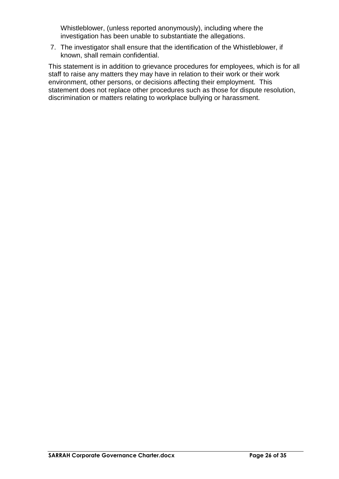Whistleblower, (unless reported anonymously), including where the investigation has been unable to substantiate the allegations.

7. The investigator shall ensure that the identification of the Whistleblower, if known, shall remain confidential.

This statement is in addition to grievance procedures for employees, which is for all staff to raise any matters they may have in relation to their work or their work environment, other persons, or decisions affecting their employment. This statement does not replace other procedures such as those for dispute resolution, discrimination or matters relating to workplace bullying or harassment.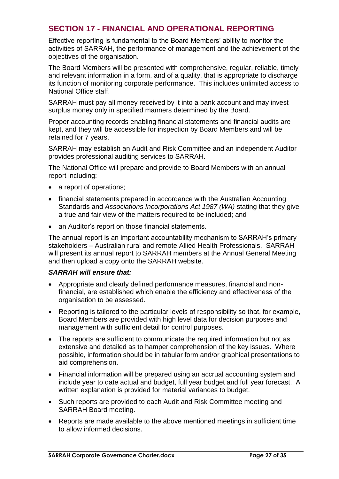# <span id="page-26-0"></span>**SECTION 17 - FINANCIAL AND OPERATIONAL REPORTING**

Effective reporting is fundamental to the Board Members' ability to monitor the activities of SARRAH, the performance of management and the achievement of the objectives of the organisation.

The Board Members will be presented with comprehensive, regular, reliable, timely and relevant information in a form, and of a quality, that is appropriate to discharge its function of monitoring corporate performance. This includes unlimited access to National Office staff.

SARRAH must pay all money received by it into a bank account and may invest surplus money only in specified manners determined by the Board.

Proper accounting records enabling financial statements and financial audits are kept, and they will be accessible for inspection by Board Members and will be retained for 7 years.

SARRAH may establish an Audit and Risk Committee and an independent Auditor provides professional auditing services to SARRAH.

The National Office will prepare and provide to Board Members with an annual report including:

- a report of operations;
- financial statements prepared in accordance with the Australian Accounting Standards and *Associations Incorporations Act 1987 (WA)* stating that they give a true and fair view of the matters required to be included; and
- an Auditor's report on those financial statements.

The annual report is an important accountability mechanism to SARRAH's primary stakeholders – Australian rural and remote Allied Health Professionals. SARRAH will present its annual report to SARRAH members at the Annual General Meeting and then upload a copy onto the SARRAH website.

- Appropriate and clearly defined performance measures, financial and nonfinancial, are established which enable the efficiency and effectiveness of the organisation to be assessed.
- Reporting is tailored to the particular levels of responsibility so that, for example, Board Members are provided with high level data for decision purposes and management with sufficient detail for control purposes.
- The reports are sufficient to communicate the required information but not as extensive and detailed as to hamper comprehension of the key issues. Where possible, information should be in tabular form and/or graphical presentations to aid comprehension.
- Financial information will be prepared using an accrual accounting system and include year to date actual and budget, full year budget and full year forecast. A written explanation is provided for material variances to budget.
- Such reports are provided to each Audit and Risk Committee meeting and SARRAH Board meeting.
- Reports are made available to the above mentioned meetings in sufficient time to allow informed decisions.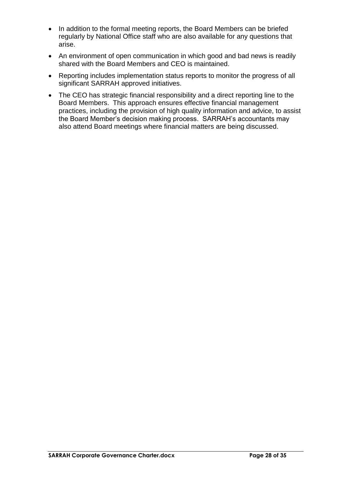- In addition to the formal meeting reports, the Board Members can be briefed regularly by National Office staff who are also available for any questions that arise.
- An environment of open communication in which good and bad news is readily shared with the Board Members and CEO is maintained.
- Reporting includes implementation status reports to monitor the progress of all significant SARRAH approved initiatives.
- The CEO has strategic financial responsibility and a direct reporting line to the Board Members. This approach ensures effective financial management practices, including the provision of high quality information and advice, to assist the Board Member's decision making process. SARRAH's accountants may also attend Board meetings where financial matters are being discussed.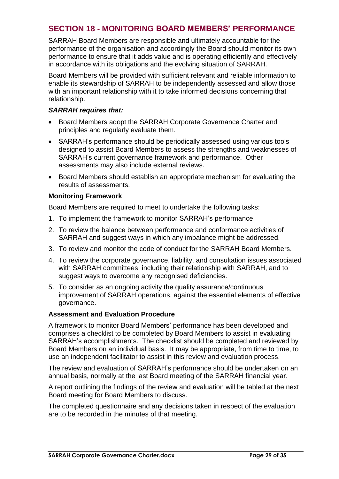# <span id="page-28-0"></span>**SECTION 18 - MONITORING BOARD MEMBERS' PERFORMANCE**

SARRAH Board Members are responsible and ultimately accountable for the performance of the organisation and accordingly the Board should monitor its own performance to ensure that it adds value and is operating efficiently and effectively in accordance with its obligations and the evolving situation of SARRAH.

Board Members will be provided with sufficient relevant and reliable information to enable its stewardship of SARRAH to be independently assessed and allow those with an important relationship with it to take informed decisions concerning that relationship.

## *SARRAH requires that:*

- Board Members adopt the SARRAH Corporate Governance Charter and principles and regularly evaluate them.
- SARRAH's performance should be periodically assessed using various tools designed to assist Board Members to assess the strengths and weaknesses of SARRAH's current governance framework and performance. Other assessments may also include external reviews.
- Board Members should establish an appropriate mechanism for evaluating the results of assessments.

## **Monitoring Framework**

Board Members are required to meet to undertake the following tasks:

- 1. To implement the framework to monitor SARRAH's performance.
- 2. To review the balance between performance and conformance activities of SARRAH and suggest ways in which any imbalance might be addressed.
- 3. To review and monitor the code of conduct for the SARRAH Board Members.
- 4. To review the corporate governance, liability, and consultation issues associated with SARRAH committees, including their relationship with SARRAH, and to suggest ways to overcome any recognised deficiencies.
- 5. To consider as an ongoing activity the quality assurance/continuous improvement of SARRAH operations, against the essential elements of effective governance.

## **Assessment and Evaluation Procedure**

A framework to monitor Board Members' performance has been developed and comprises a checklist to be completed by Board Members to assist in evaluating SARRAH's accomplishments. The checklist should be completed and reviewed by Board Members on an individual basis. It may be appropriate, from time to time, to use an independent facilitator to assist in this review and evaluation process.

The review and evaluation of SARRAH's performance should be undertaken on an annual basis, normally at the last Board meeting of the SARRAH financial year.

A report outlining the findings of the review and evaluation will be tabled at the next Board meeting for Board Members to discuss.

The completed questionnaire and any decisions taken in respect of the evaluation are to be recorded in the minutes of that meeting.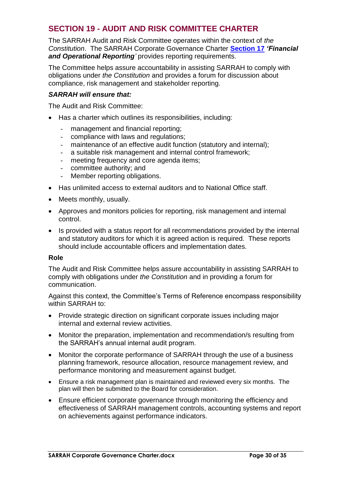# <span id="page-29-0"></span>**SECTION 19 - AUDIT AND RISK COMMITTEE CHARTER**

The SARRAH Audit and Risk Committee operates within the context of *the Constitution*. The SARRAH Corporate Governance Charter **[Section 17](#page-23-0)** *'Financial*  and Operational Reporting<sup>'</sup> provides reporting requirements.

The Committee helps assure accountability in assisting SARRAH to comply with obligations under *the Constitution* and provides a forum for discussion about compliance, risk management and stakeholder reporting.

#### *SARRAH will ensure that:*

The Audit and Risk Committee:

- Has a charter which outlines its responsibilities, including:
	- management and financial reporting;<br>- compliance with laws and requiations
	- compliance with laws and regulations;
	- maintenance of an effective audit function (statutory and internal);
	- a suitable risk management and internal control framework;
	- meeting frequency and core agenda items;
	- committee authority; and
	- Member reporting obligations.
- Has unlimited access to external auditors and to National Office staff.
- Meets monthly, usually.
- Approves and monitors policies for reporting, risk management and internal control.
- Is provided with a status report for all recommendations provided by the internal and statutory auditors for which it is agreed action is required. These reports should include accountable officers and implementation dates.

#### **Role**

The Audit and Risk Committee helps assure accountability in assisting SARRAH to comply with obligations under *the Constitution* and in providing a forum for communication.

Against this context, the Committee's Terms of Reference encompass responsibility within SARRAH to:

- Provide strategic direction on significant corporate issues including major internal and external review activities.
- Monitor the preparation, implementation and recommendation/s resulting from the SARRAH's annual internal audit program.
- Monitor the corporate performance of SARRAH through the use of a business planning framework, resource allocation, resource management review, and performance monitoring and measurement against budget.
- Ensure a risk management plan is maintained and reviewed every six months. The plan will then be submitted to the Board for consideration.
- Ensure efficient corporate governance through monitoring the efficiency and effectiveness of SARRAH management controls, accounting systems and report on achievements against performance indicators.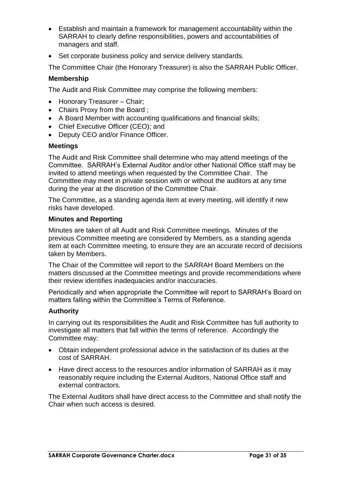- Establish and maintain a framework for management accountability within the SARRAH to clearly define responsibilities, powers and accountabilities of managers and staff.
- Set corporate business policy and service delivery standards.

The Committee Chair (the Honorary Treasurer) is also the SARRAH Public Officer.

## **Membership**

The Audit and Risk Committee may comprise the following members:

- Honorary Treasurer Chair;
- Chairs Proxy from the Board ;
- A Board Member with accounting qualifications and financial skills;
- Chief Executive Officer (CEO); and
- Deputy CEO and/or Finance Officer.

## **Meetings**

The Audit and Risk Committee shall determine who may attend meetings of the Committee. SARRAH's External Auditor and/or other National Office staff may be invited to attend meetings when requested by the Committee Chair. The Committee may meet in private session with or without the auditors at any time during the year at the discretion of the Committee Chair.

The Committee, as a standing agenda item at every meeting, will identify if new risks have developed.

## **Minutes and Reporting**

Minutes are taken of all Audit and Risk Committee meetings. Minutes of the previous Committee meeting are considered by Members, as a standing agenda item at each Committee meeting, to ensure they are an accurate record of decisions taken by Members.

The Chair of the Committee will report to the SARRAH Board Members on the matters discussed at the Committee meetings and provide recommendations where their review identifies inadequacies and/or inaccuracies.

Periodically and when appropriate the Committee will report to SARRAH's Board on matters falling within the Committee's Terms of Reference.

## **Authority**

In carrying out its responsibilities the Audit and Risk Committee has full authority to investigate all matters that fall within the terms of reference. Accordingly the Committee may:

- Obtain independent professional advice in the satisfaction of its duties at the cost of SARRAH.
- Have direct access to the resources and/or information of SARRAH as it may reasonably require including the External Auditors, National Office staff and external contractors.

The External Auditors shall have direct access to the Committee and shall notify the Chair when such access is desired.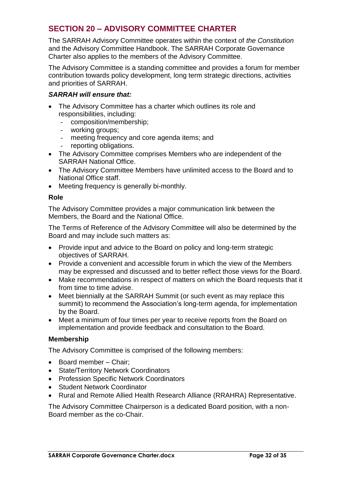# <span id="page-31-0"></span>**SECTION 20 – ADVISORY COMMITTEE CHARTER**

The SARRAH Advisory Committee operates within the context of *the Constitution* and the Advisory Committee Handbook. The SARRAH Corporate Governance Charter also applies to the members of the Advisory Committee.

The Advisory Committee is a standing committee and provides a forum for member contribution towards policy development, long term strategic directions, activities and priorities of SARRAH.

## *SARRAH will ensure that:*

- The Advisory Committee has a charter which outlines its role and responsibilities, including:
	- composition/membership;
	- working groups;
	- meeting frequency and core agenda items; and
	- reporting obligations.
- The Advisory Committee comprises Members who are independent of the SARRAH National Office.
- The Advisory Committee Members have unlimited access to the Board and to National Office staff.
- Meeting frequency is generally bi-monthly.

## **Role**

The Advisory Committee provides a major communication link between the Members, the Board and the National Office.

The Terms of Reference of the Advisory Committee will also be determined by the Board and may include such matters as:

- Provide input and advice to the Board on policy and long-term strategic objectives of SARRAH.
- Provide a convenient and accessible forum in which the view of the Members may be expressed and discussed and to better reflect those views for the Board.
- Make recommendations in respect of matters on which the Board requests that it from time to time advise.
- Meet biennially at the SARRAH Summit (or such event as may replace this summit) to recommend the Association's long-term agenda, for implementation by the Board.
- Meet a minimum of four times per year to receive reports from the Board on implementation and provide feedback and consultation to the Board.

## **Membership**

The Advisory Committee is comprised of the following members:

- Board member Chair:
- State/Territory Network Coordinators
- Profession Specific Network Coordinators
- Student Network Coordinator
- Rural and Remote Allied Health Research Alliance (RRAHRA) Representative.

The Advisory Committee Chairperson is a dedicated Board position, with a non-Board member as the co-Chair.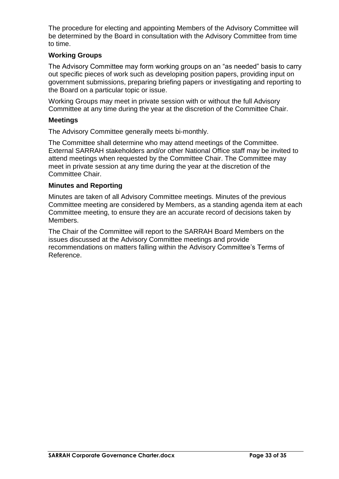The procedure for electing and appointing Members of the Advisory Committee will be determined by the Board in consultation with the Advisory Committee from time to time.

## **Working Groups**

The Advisory Committee may form working groups on an "as needed" basis to carry out specific pieces of work such as developing position papers, providing input on government submissions, preparing briefing papers or investigating and reporting to the Board on a particular topic or issue.

Working Groups may meet in private session with or without the full Advisory Committee at any time during the year at the discretion of the Committee Chair.

## **Meetings**

The Advisory Committee generally meets bi-monthly.

The Committee shall determine who may attend meetings of the Committee. External SARRAH stakeholders and/or other National Office staff may be invited to attend meetings when requested by the Committee Chair. The Committee may meet in private session at any time during the year at the discretion of the Committee Chair.

## **Minutes and Reporting**

Minutes are taken of all Advisory Committee meetings. Minutes of the previous Committee meeting are considered by Members, as a standing agenda item at each Committee meeting, to ensure they are an accurate record of decisions taken by Members.

The Chair of the Committee will report to the SARRAH Board Members on the issues discussed at the Advisory Committee meetings and provide recommendations on matters falling within the Advisory Committee's Terms of Reference.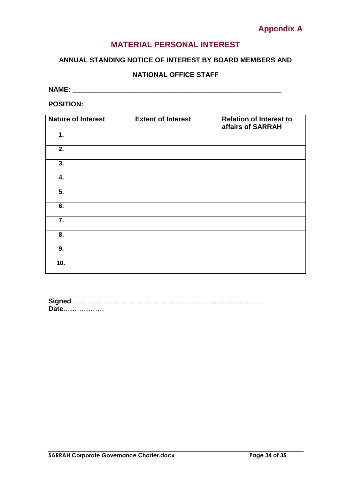# **Appendix A**

# **MATERIAL PERSONAL INTEREST**

## <span id="page-33-0"></span>**ANNUAL STANDING NOTICE OF INTEREST BY BOARD MEMBERS AND**

# **NATIONAL OFFICE STAFF**

| <b>NAME</b><br>www. |
|---------------------|
|---------------------|

**POSITION: \_\_\_\_\_\_\_\_\_\_\_\_\_\_\_\_\_\_\_\_\_\_\_\_\_\_\_\_\_\_\_\_\_\_\_\_\_\_\_\_\_\_\_\_\_\_\_\_\_\_\_\_**

| <b>Nature of Interest</b> | <b>Extent of Interest</b> | <b>Relation of Interest to</b> |
|---------------------------|---------------------------|--------------------------------|
|                           |                           | affairs of SARRAH              |
| 1.                        |                           |                                |
| 2.                        |                           |                                |
| 3.                        |                           |                                |
| 4.                        |                           |                                |
| $\overline{5}$ .          |                           |                                |
| 6.                        |                           |                                |
| 7.                        |                           |                                |
| 8.                        |                           |                                |
| 9.                        |                           |                                |
| 10.                       |                           |                                |

| Date |  |  |  |
|------|--|--|--|